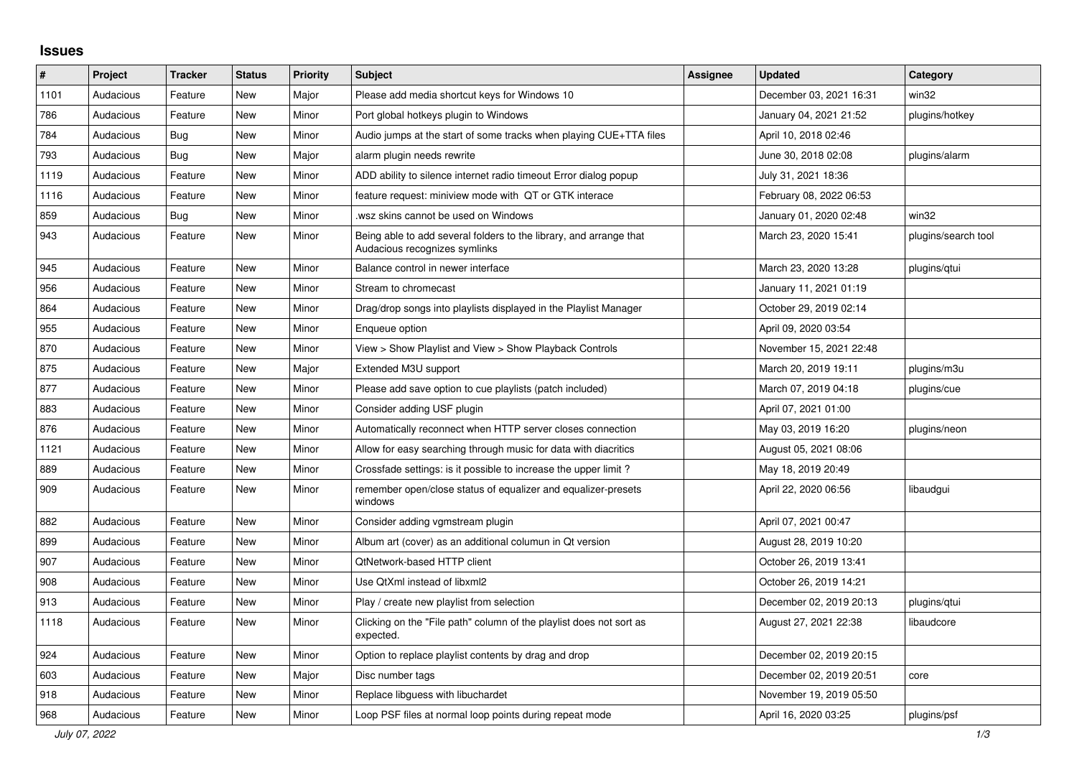## **Issues**

| $\#$ | Project   | <b>Tracker</b> | <b>Status</b> | <b>Priority</b> | <b>Subject</b>                                                                                      | <b>Assignee</b> | <b>Updated</b>          | Category            |
|------|-----------|----------------|---------------|-----------------|-----------------------------------------------------------------------------------------------------|-----------------|-------------------------|---------------------|
| 1101 | Audacious | Feature        | <b>New</b>    | Major           | Please add media shortcut keys for Windows 10                                                       |                 | December 03, 2021 16:31 | win32               |
| 786  | Audacious | Feature        | <b>New</b>    | Minor           | Port global hotkeys plugin to Windows                                                               |                 | January 04, 2021 21:52  | plugins/hotkey      |
| 784  | Audacious | <b>Bug</b>     | <b>New</b>    | Minor           | Audio jumps at the start of some tracks when playing CUE+TTA files                                  |                 | April 10, 2018 02:46    |                     |
| 793  | Audacious | Bug            | New           | Major           | alarm plugin needs rewrite                                                                          |                 | June 30, 2018 02:08     | plugins/alarm       |
| 1119 | Audacious | Feature        | <b>New</b>    | Minor           | ADD ability to silence internet radio timeout Error dialog popup                                    |                 | July 31, 2021 18:36     |                     |
| 1116 | Audacious | Feature        | <b>New</b>    | Minor           | feature request: miniview mode with QT or GTK interace                                              |                 | February 08, 2022 06:53 |                     |
| 859  | Audacious | Bug            | New           | Minor           | wsz skins cannot be used on Windows.                                                                |                 | January 01, 2020 02:48  | win32               |
| 943  | Audacious | Feature        | New           | Minor           | Being able to add several folders to the library, and arrange that<br>Audacious recognizes symlinks |                 | March 23, 2020 15:41    | plugins/search tool |
| 945  | Audacious | Feature        | New           | Minor           | Balance control in newer interface                                                                  |                 | March 23, 2020 13:28    | plugins/qtui        |
| 956  | Audacious | Feature        | <b>New</b>    | Minor           | Stream to chromecast                                                                                |                 | January 11, 2021 01:19  |                     |
| 864  | Audacious | Feature        | <b>New</b>    | Minor           | Drag/drop songs into playlists displayed in the Playlist Manager                                    |                 | October 29, 2019 02:14  |                     |
| 955  | Audacious | Feature        | <b>New</b>    | Minor           | Enqueue option                                                                                      |                 | April 09, 2020 03:54    |                     |
| 870  | Audacious | Feature        | New           | Minor           | View > Show Playlist and View > Show Playback Controls                                              |                 | November 15, 2021 22:48 |                     |
| 875  | Audacious | Feature        | <b>New</b>    | Major           | Extended M3U support                                                                                |                 | March 20, 2019 19:11    | plugins/m3u         |
| 877  | Audacious | Feature        | <b>New</b>    | Minor           | Please add save option to cue playlists (patch included)                                            |                 | March 07, 2019 04:18    | plugins/cue         |
| 883  | Audacious | Feature        | New           | Minor           | Consider adding USF plugin                                                                          |                 | April 07, 2021 01:00    |                     |
| 876  | Audacious | Feature        | <b>New</b>    | Minor           | Automatically reconnect when HTTP server closes connection                                          |                 | May 03, 2019 16:20      | plugins/neon        |
| 1121 | Audacious | Feature        | New           | Minor           | Allow for easy searching through music for data with diacritics                                     |                 | August 05, 2021 08:06   |                     |
| 889  | Audacious | Feature        | <b>New</b>    | Minor           | Crossfade settings: is it possible to increase the upper limit?                                     |                 | May 18, 2019 20:49      |                     |
| 909  | Audacious | Feature        | New           | Minor           | remember open/close status of equalizer and equalizer-presets<br>windows                            |                 | April 22, 2020 06:56    | libaudgui           |
| 882  | Audacious | Feature        | New           | Minor           | Consider adding vgmstream plugin                                                                    |                 | April 07, 2021 00:47    |                     |
| 899  | Audacious | Feature        | <b>New</b>    | Minor           | Album art (cover) as an additional columun in Qt version                                            |                 | August 28, 2019 10:20   |                     |
| 907  | Audacious | Feature        | <b>New</b>    | Minor           | QtNetwork-based HTTP client                                                                         |                 | October 26, 2019 13:41  |                     |
| 908  | Audacious | Feature        | New           | Minor           | Use QtXml instead of libxml2                                                                        |                 | October 26, 2019 14:21  |                     |
| 913  | Audacious | Feature        | New           | Minor           | Play / create new playlist from selection                                                           |                 | December 02, 2019 20:13 | plugins/gtui        |
| 1118 | Audacious | Feature        | New           | Minor           | Clicking on the "File path" column of the playlist does not sort as<br>expected.                    |                 | August 27, 2021 22:38   | libaudcore          |
| 924  | Audacious | Feature        | <b>New</b>    | Minor           | Option to replace playlist contents by drag and drop                                                |                 | December 02, 2019 20:15 |                     |
| 603  | Audacious | Feature        | New           | Major           | Disc number tags                                                                                    |                 | December 02, 2019 20:51 | core                |
| 918  | Audacious | Feature        | New           | Minor           | Replace libguess with libuchardet                                                                   |                 | November 19, 2019 05:50 |                     |
| 968  | Audacious | Feature        | <b>New</b>    | Minor           | Loop PSF files at normal loop points during repeat mode                                             |                 | April 16, 2020 03:25    | plugins/psf         |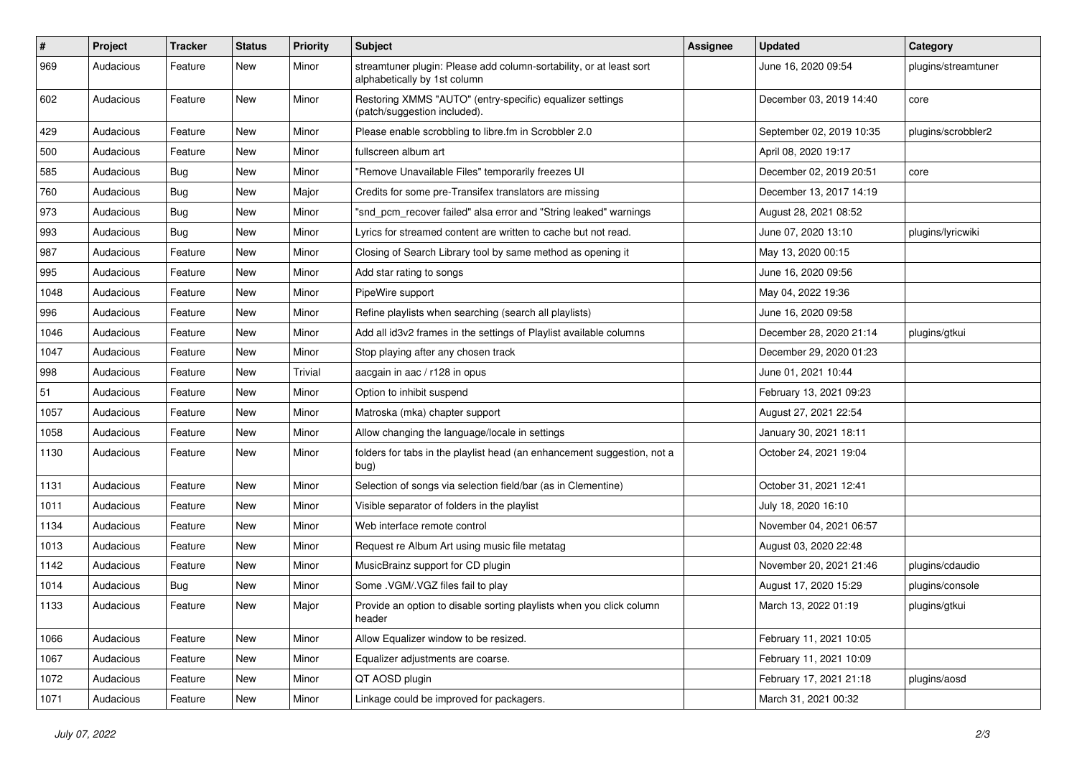| $\pmb{\#}$ | Project   | <b>Tracker</b> | <b>Status</b> | <b>Priority</b> | <b>Subject</b>                                                                                      | <b>Assignee</b> | <b>Updated</b>           | Category            |
|------------|-----------|----------------|---------------|-----------------|-----------------------------------------------------------------------------------------------------|-----------------|--------------------------|---------------------|
| 969        | Audacious | Feature        | New           | Minor           | streamtuner plugin: Please add column-sortability, or at least sort<br>alphabetically by 1st column |                 | June 16, 2020 09:54      | plugins/streamtuner |
| 602        | Audacious | Feature        | New           | Minor           | Restoring XMMS "AUTO" (entry-specific) equalizer settings<br>(patch/suggestion included).           |                 | December 03, 2019 14:40  | core                |
| 429        | Audacious | Feature        | <b>New</b>    | Minor           | Please enable scrobbling to libre.fm in Scrobbler 2.0                                               |                 | September 02, 2019 10:35 | plugins/scrobbler2  |
| 500        | Audacious | Feature        | New           | Minor           | fullscreen album art                                                                                |                 | April 08, 2020 19:17     |                     |
| 585        | Audacious | <b>Bug</b>     | New           | Minor           | "Remove Unavailable Files" temporarily freezes UI                                                   |                 | December 02, 2019 20:51  | core                |
| 760        | Audacious | Bug            | New           | Major           | Credits for some pre-Transifex translators are missing                                              |                 | December 13, 2017 14:19  |                     |
| 973        | Audacious | Bug            | New           | Minor           | "snd_pcm_recover failed" alsa error and "String leaked" warnings                                    |                 | August 28, 2021 08:52    |                     |
| 993        | Audacious | Bug            | <b>New</b>    | Minor           | Lyrics for streamed content are written to cache but not read.                                      |                 | June 07, 2020 13:10      | plugins/lyricwiki   |
| 987        | Audacious | Feature        | New           | Minor           | Closing of Search Library tool by same method as opening it                                         |                 | May 13, 2020 00:15       |                     |
| 995        | Audacious | Feature        | New           | Minor           | Add star rating to songs                                                                            |                 | June 16, 2020 09:56      |                     |
| 1048       | Audacious | Feature        | New           | Minor           | PipeWire support                                                                                    |                 | May 04, 2022 19:36       |                     |
| 996        | Audacious | Feature        | New           | Minor           | Refine playlists when searching (search all playlists)                                              |                 | June 16, 2020 09:58      |                     |
| 1046       | Audacious | Feature        | <b>New</b>    | Minor           | Add all id3v2 frames in the settings of Playlist available columns                                  |                 | December 28, 2020 21:14  | plugins/gtkui       |
| 1047       | Audacious | Feature        | New           | Minor           | Stop playing after any chosen track                                                                 |                 | December 29, 2020 01:23  |                     |
| 998        | Audacious | Feature        | New           | Trivial         | aacgain in aac / r128 in opus                                                                       |                 | June 01, 2021 10:44      |                     |
| 51         | Audacious | Feature        | New           | Minor           | Option to inhibit suspend                                                                           |                 | February 13, 2021 09:23  |                     |
| 1057       | Audacious | Feature        | New           | Minor           | Matroska (mka) chapter support                                                                      |                 | August 27, 2021 22:54    |                     |
| 1058       | Audacious | Feature        | New           | Minor           | Allow changing the language/locale in settings                                                      |                 | January 30, 2021 18:11   |                     |
| 1130       | Audacious | Feature        | New           | Minor           | folders for tabs in the playlist head (an enhancement suggestion, not a<br>bug)                     |                 | October 24, 2021 19:04   |                     |
| 1131       | Audacious | Feature        | <b>New</b>    | Minor           | Selection of songs via selection field/bar (as in Clementine)                                       |                 | October 31, 2021 12:41   |                     |
| 1011       | Audacious | Feature        | New           | Minor           | Visible separator of folders in the playlist                                                        |                 | July 18, 2020 16:10      |                     |
| 1134       | Audacious | Feature        | New           | Minor           | Web interface remote control                                                                        |                 | November 04, 2021 06:57  |                     |
| 1013       | Audacious | Feature        | New           | Minor           | Request re Album Art using music file metatag                                                       |                 | August 03, 2020 22:48    |                     |
| 1142       | Audacious | Feature        | New           | Minor           | MusicBrainz support for CD plugin                                                                   |                 | November 20, 2021 21:46  | plugins/cdaudio     |
| 1014       | Audacious | <b>Bug</b>     | New           | Minor           | Some .VGM/.VGZ files fail to play                                                                   |                 | August 17, 2020 15:29    | plugins/console     |
| 1133       | Audacious | Feature        | New           | Major           | Provide an option to disable sorting playlists when you click column<br>header                      |                 | March 13, 2022 01:19     | plugins/gtkui       |
| 1066       | Audacious | Feature        | New           | Minor           | Allow Equalizer window to be resized.                                                               |                 | February 11, 2021 10:05  |                     |
| 1067       | Audacious | Feature        | New           | Minor           | Equalizer adjustments are coarse.                                                                   |                 | February 11, 2021 10:09  |                     |
| 1072       | Audacious | Feature        | New           | Minor           | QT AOSD plugin                                                                                      |                 | February 17, 2021 21:18  | plugins/aosd        |
| 1071       | Audacious | Feature        | New           | Minor           | Linkage could be improved for packagers.                                                            |                 | March 31, 2021 00:32     |                     |